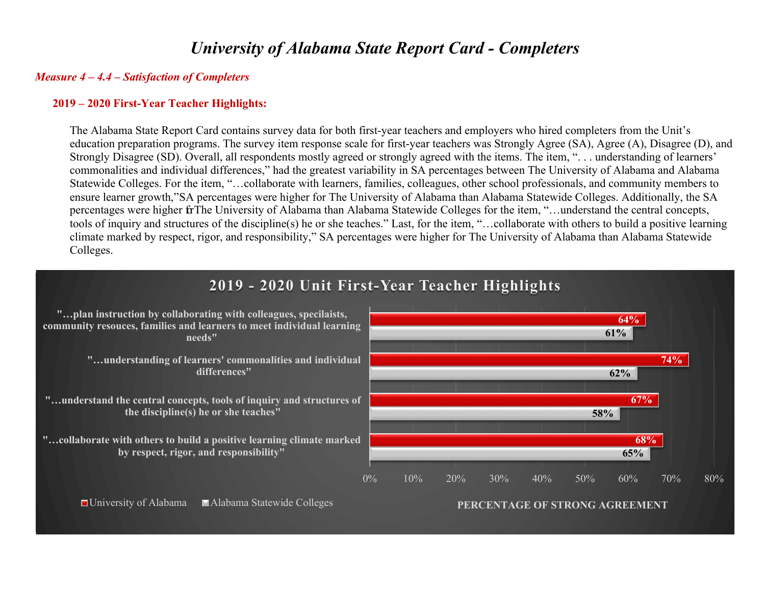# *University of Alabama State Report Card - Completers*

#### *Measure 4 – 4.4 – Satisfaction of Completers*

#### **2019 – 2020 First-Year Teacher Highlights:**

The Alabama State Report Card contains survey data for both first-year teachers and employers who hired completers from the Unit's education preparation programs. The survey item response scale for first-year teachers was Strongly Agree (SA), Agree (A), Disagree (D), and Strongly Disagree (SD). Overall, all respondents mostly agreed or strongly agreed with the items. The item, ". . . understanding of learners' commonalities and individual differences," had the greatest variability in SA percentages between The University of Alabama and Alabama Statewide Colleges. For the item, "…collaborate with learners, families, colleagues, other school professionals, and community members to ensure learner growth,"SA percentages were higher for The University of Alabama than Alabama Statewide Colleges. Additionally, the SA percentages were higher fr The University of Alabama than Alabama Statewide Colleges for the item, "…understand the central concepts, tools of inquiry and structures of the discipline(s) he or she teaches." Last, for the item, "…collaborate with others to build a positive learning climate marked by respect, rigor, and responsibility," SA percentages were higher for The University of Alabama than Alabama Statewide Colleges.

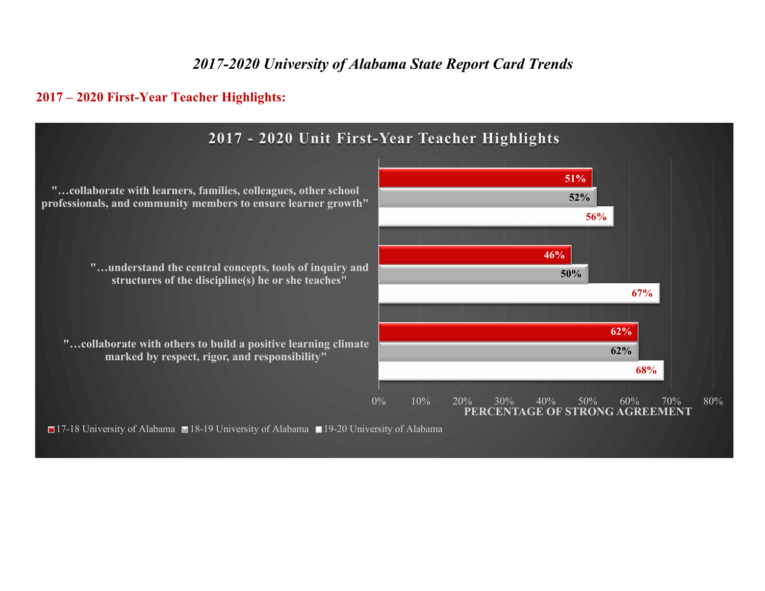# *2017-2020 University of Alabama State Report Card Trends*

### **2017 – 2020 First-Year Teacher Highlights:**